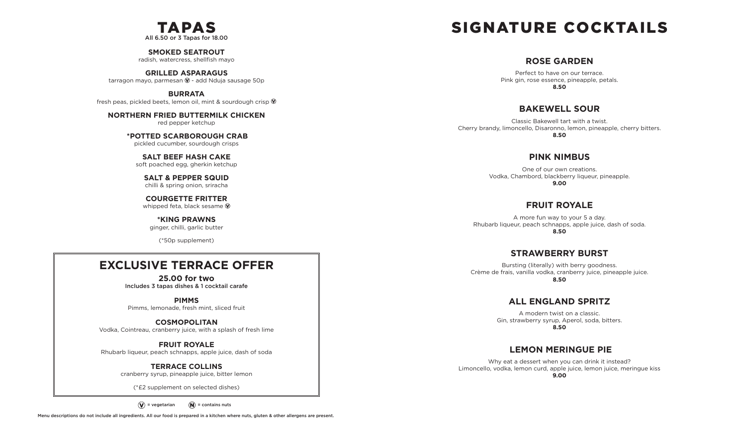

**SMOKED SEATROUT**

radish, watercress, shellfish mayo

**GRILLED ASPARAGUS** tarragon mayo, parmesan  $\mathcal Q$  - add Nduja sausage 50p

**BURRATA** fresh peas, pickled beets, lemon oil, mint & sourdough crisp  $\mathcal{D}$ 

**NORTHERN FRIED BUTTERMILK CHICKEN** red pepper ketchup

> **\*POTTED SCARBOROUGH CRAB** pickled cucumber, sourdough crisps

**SALT BEEF HASH CAKE**  soft poached egg, gherkin ketchup

**SALT & PEPPER SQUID** chilli & spring onion, sriracha

**COURGETTE FRITTER** whipped feta, black sesame  $\mathbf{\hat{V}}$ 

**\*KING PRAWNS** ginger, chilli, garlic butter

(\*50p supplement)

### **EXCLUSIVE TERRACE OFFER**

**25.00 for two** Includes 3 tapas dishes & 1 cocktail carafe

**PIMMS** Pimms, lemonade, fresh mint, sliced fruit

**COSMOPOLITAN** Vodka, Cointreau, cranberry juice, with a splash of fresh lime

**FRUIT ROYALE** Rhubarb liqueur, peach schnapps, apple juice, dash of soda

> **TERRACE COLLINS** cranberry syrup, pineapple juice, bitter lemon

(\*£2 supplement on selected dishes)

 $\widehat{N}(s)$  = vegetarian  $\widehat{N}(s)$  = contains nuts

## SIGNATURE COCKTAILS

#### **ROSE GARDEN**

Perfect to have on our terrace. Pink gin, rose essence, pineapple, petals. **8.50**

#### **BAKEWELL SOUR**

Classic Bakewell tart with a twist. Cherry brandy, limoncello, Disaronno, lemon, pineapple, cherry bitters. **8.50**

#### **PINK NIMBUS**

One of our own creations. Vodka, Chambord, blackberry liqueur, pineapple. **9.00**

#### **FRUIT ROYALE**

A more fun way to your 5 a day. Rhubarb liqueur, peach schnapps, apple juice, dash of soda. **8.50**

#### **STRAWBERRY BURST**

Bursting (literally) with berry goodness. Crème de frais, vanilla vodka, cranberry juice, pineapple juice. **8.50**

#### **ALL ENGLAND SPRITZ**

A modern twist on a classic. Gin, strawberry syrup, Aperol, soda, bitters. **8.50**

#### **LEMON MERINGUE PIE**

Why eat a dessert when you can drink it instead? Limoncello, vodka, lemon curd, apple juice, lemon juice, meringue kiss **9.00**

Menu descriptions do not include all ingredients. All our food is prepared in a kitchen where nuts, gluten & other allergens are present.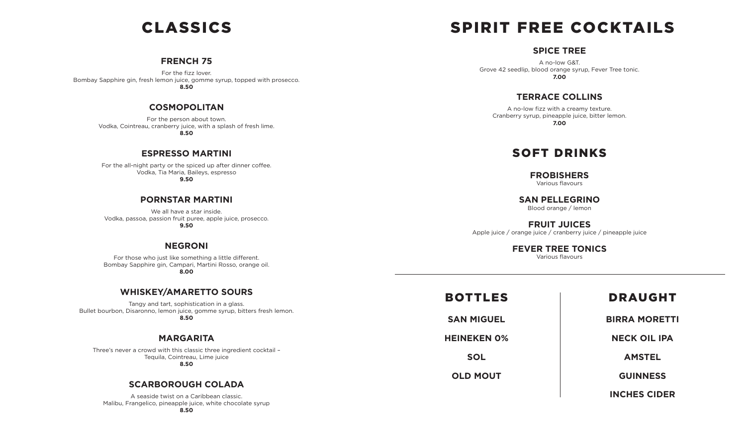## CLASSICS

#### **FRENCH 75**

For the fizz lover. Bombay Sapphire gin, fresh lemon juice, gomme syrup, topped with prosecco. **8.50**

#### **COSMOPOLITAN**

For the person about town. Vodka, Cointreau, cranberry juice, with a splash of fresh lime.

**8.50**

#### **ESPRESSO MARTINI**

For the all-night party or the spiced up after dinner coffee. Vodka, Tia Maria, Baileys, espresso **9.50**

#### **PORNSTAR MARTINI**

We all have a star inside. Vodka, passoa, passion fruit puree, apple juice, prosecco. **9.50**

#### **NEGRONI**

For those who just like something a little different. Bombay Sapphire gin, Campari, Martini Rosso, orange oil. **8.00**

#### **WHISKEY/AMARETTO SOURS**

Tangy and tart, sophistication in a glass. Bullet bourbon, Disaronno, lemon juice, gomme syrup, bitters fresh lemon. **8.50**

#### **MARGARITA**

Three's never a crowd with this classic three ingredient cocktail – Tequila, Cointreau, Lime juice **8.50**

#### **SCARBOROUGH COLADA**

A seaside twist on a Caribbean classic. Malibu, Frangelico, pineapple juice, white chocolate syrup

# SPIRIT FREE COCKTAILS

#### **SPICE TREE**

A no-low G&T. Grove 42 seedlip, blood orange syrup, Fever Tree tonic. **7.00**

#### **TERRACE COLLINS**

A no-low fizz with a creamy texture. Cranberry syrup, pineapple juice, bitter lemon. **7.00**

### SOFT DRINKS

**FROBISHERS**

Various flavours

**SAN PELLEGRINO** Blood orange / lemon

**FRUIT JUICES** Apple juice / orange juice / cranberry juice / pineapple juice

#### **FEVER TREE TONICS**

Various flavours

| <b>DRAUG</b>     | <b>BOTTLES</b>     |
|------------------|--------------------|
| <b>BIRRA MOI</b> | <b>SAN MIGUEL</b>  |
| <b>NECK OIL</b>  | <b>HEINEKEN 0%</b> |
| <b>AMSTE</b>     | <b>SOL</b>         |
| <b>GUINNE</b>    | <b>OLD MOUT</b>    |
| INCHES CI        |                    |

#### **GHT**

**RETTI** 

**NECK OIL IPA**

**AMSTEL**

**SS** 

**INCHES CIDER**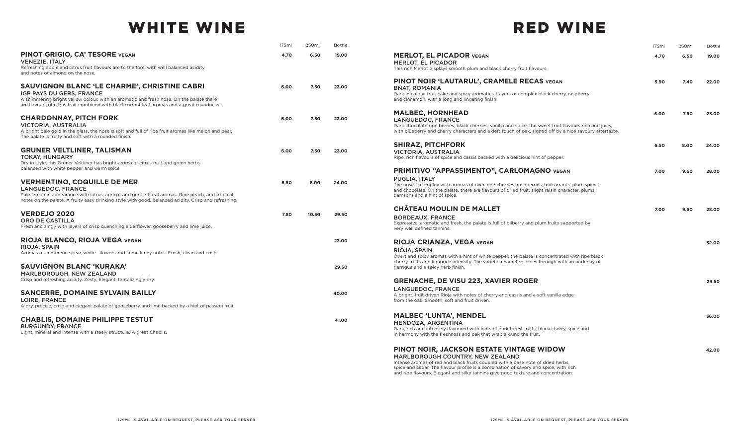## WHITE WINE

|                                                                                                                                                                                                          | 175ml | 250ml | <b>Bottle</b> |
|----------------------------------------------------------------------------------------------------------------------------------------------------------------------------------------------------------|-------|-------|---------------|
| <b>PINOT GRIGIO, CA' TESORE VEGAN</b><br><b>VENEZIE, ITALY</b>                                                                                                                                           | 4.70  | 6.50  | 19.00         |
| Refreshing apple and citrus fruit flavours are to the fore, with well balanced acidity<br>and notes of almond on the nose.                                                                               |       |       |               |
| <b>SAUVIGNON BLANC 'LE CHARME', CHRISTINE CABRI</b><br>IGP PAYS DU GERS, FRANCE                                                                                                                          | 6.00  | 7.50  | 23.00         |
| A shimmering bright yellow colour, with an aromatic and fresh nose. On the palate there<br>are flavours of citrus fruit combined with blackcurrant leaf aromas and a great roundness.                    |       |       |               |
| <b>CHARDONNAY, PITCH FORK</b><br><b>VICTORIA, AUSTRALIA</b>                                                                                                                                              | 6.00  | 7.50  | 23.00         |
| A bright pale gold in the glass, the nose is soft and full of ripe fruit aromas like melon and pear.<br>The palate is fruity and soft with a rounded finish.                                             |       |       |               |
| <b>GRUNER VELTLINER, TALISMAN</b><br><b>TOKAY, HUNGARY</b>                                                                                                                                               | 6.00  | 7.50  | 23.00         |
| Dry in style, this Grüner Veltliner has bright aroma of citrus fruit and green herbs<br>balanced with white pepper and warm spice                                                                        |       |       |               |
| <b>VERMENTINO, COQUILLE DE MER</b><br><b>LANGUEDOC, FRANCE</b>                                                                                                                                           | 6.50  | 8.00  | 24.00         |
| Pale lemon in appearance with citrus, apricot and gentle floral aromas. Ripe peach, and tropical<br>notes on the palate. A fruity easy drinking style with good, balanced acidity. Crisp and refreshing. |       |       |               |
| <b>VERDEJO 2020</b><br><b>ORO DE CASTILLA</b>                                                                                                                                                            | 7.80  | 10.50 | 29.50         |
| Fresh and zingy with layers of crisp quenching elderflower, gooseberry and lime juice.                                                                                                                   |       |       |               |
| RIOJA BLANCO, RIOJA VEGA VEGAN<br>RIOJA, SPAIN                                                                                                                                                           |       |       | 23.00         |
| Aromas of conference pear, white flowers and some limey notes. Fresh, clean and crisp.                                                                                                                   |       |       |               |
| <b>SAUVIGNON BLANC 'KURAKA'</b><br>MARLBOROUGH, NEW ZEALAND                                                                                                                                              |       |       | 29.50         |
| Crisp and refreshing acidity. Zesty, Elegant, tantalizingly dry.                                                                                                                                         |       |       |               |
| <b>SANCERRE, DOMAINE SYLVAIN BAILLY</b><br><b>LOIRE, FRANCE</b>                                                                                                                                          |       |       | 40.00         |
| A dry, precise, crisp and elegant palate of gooseberry and lime backed by a hint of passion fruit.                                                                                                       |       |       |               |
| <b>CHABLIS, DOMAINE PHILIPPE TESTUT</b>                                                                                                                                                                  |       |       | 41.00         |

### RED WINE

| 175ml | 250ml | <b>Bottle</b> |                                                                                                                                                                                                                                                                                                 | 175ml | 250ml | <b>Bottle</b> |
|-------|-------|---------------|-------------------------------------------------------------------------------------------------------------------------------------------------------------------------------------------------------------------------------------------------------------------------------------------------|-------|-------|---------------|
| 4.70  | 6.50  | 19.00         | <b>MERLOT, EL PICADOR VEGAN</b><br><b>MERLOT, EL PICADOR</b><br>This rich Merlot displays smooth plum and black cherry fruit flavours.                                                                                                                                                          | 4.70  | 6.50  | 19.00         |
| 6.00  | 7.50  | 23.00         | PINOT NOIR 'LAUTARUL', CRAMELE RECAS VEGAN<br><b>BNAT, ROMANIA</b><br>Dark in colour, fruit cake and spicy aromatics. Layers of complex black cherry, raspberry<br>and cinnamon, with a long and lingering finish.                                                                              | 5.90  | 7.40  | 22.00         |
| 6.00  | 7.50  | 23.00         | <b>MALBEC, HORNHEAD</b><br>LANGUEDOC, FRANCE<br>Dark chocolate ripe berries, black cherries, vanilla and spice, the sweet fruit flavours rich and juicy,<br>with blueberry and cherry characters and a deft touch of oak, signed off by a nice savoury aftertaste.                              | 6.00  | 7.50  | 23.00         |
| 6.00  | 7.50  | 23.00         | <b>SHIRAZ, PITCHFORK</b><br><b>VICTORIA, AUSTRALIA</b><br>Ripe, rich flavours of spice and cassis backed with a delicious hint of pepper.                                                                                                                                                       | 6.50  | 8.00  | 24.00         |
| 6.50  | 8.00  | 24.00         | PRIMITIVO "APPASSIMENTO", CARLOMAGNO VEGAN<br>PUGLIA, ITALY<br>The nose is complex with aromas of over-ripe cherries, raspberries, redcurrants, plum spices<br>and chocolate. On the palate, there are flavours of dried fruit, slight raisin character, plums,<br>damsons and a hint of spice. | 7.00  | 9.60  | 28,00         |
| 7.80  | 10.50 | 29.50         | <b>CHÂTEAU MOULIN DE MALLET</b><br><b>BORDEAUX, FRANCE</b><br>Expressive, aromatic and fresh, the palate is full of bilberry and plum fruits supported by<br>very well defined tannins.                                                                                                         | 7.00  | 9.60  | 28.00         |
|       |       | 23.00         | RIOJA CRIANZA, VEGA VEGAN<br>RIOJA, SPAIN<br>Overt and spicy aromas with a hint of white pepper, the palate is concentrated with ripe black<br>cherry fruits and liquorice intensity. The varietal character shines through with an underlay of                                                 |       |       | 32.00         |
|       |       | 29.50         | garrigue and a spicy herb finish.<br><b>GRENACHE, DE VISU 223, XAVIER ROGER</b>                                                                                                                                                                                                                 |       |       | 29.50         |
|       |       | 40.00         | LANGUEDOC, FRANCE<br>A bright, fruit driven Rioja with notes of cherry and cassis and a soft vanilla edge<br>from the oak. Smooth, soft and fruit driven.                                                                                                                                       |       |       |               |
|       |       | 41.00         | <b>MALBEC 'LUNTA', MENDEL</b><br>MENDOZA, ARGENTINA<br>Dark, rich and intensely flavoured with hints of dark forest fruits, black cherry, spice and<br>in harmony with the freshness and oak that wrap around the fruit.                                                                        |       |       | 36.00         |
|       |       |               | PINOT NOIR, JACKSON ESTATE VINTAGE WIDOW<br>MARLBOROUGH COUNTRY, NEW ZEALAND<br>Intense aromas of red and black fruits coupled with a base note of dried herbs,                                                                                                                                 |       |       | 42.00         |

Intense aromas of red and black fruits coupled with a base note of dried herbs, spice and cedar. The flavour profile is a combination of savory and spice, with rich and ripe flavours. Elegant and silky tannins give good texture and concentration.

BURGUNDY, FRANCE

Light, mineral and intense with a steely structure. A great Chablis.